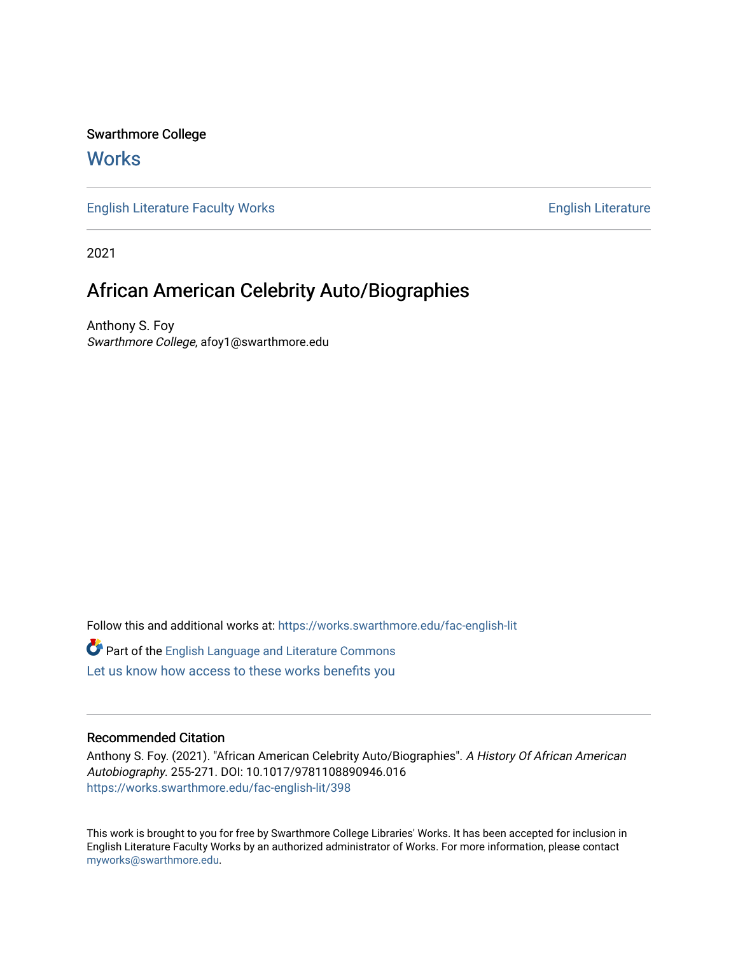### Swarthmore College

## **Works**

[English Literature Faculty Works](https://works.swarthmore.edu/fac-english-lit) **English Literature** English Literature

2021

## African American Celebrity Auto/Biographies

Anthony S. Foy Swarthmore College, afoy1@swarthmore.edu

Follow this and additional works at: [https://works.swarthmore.edu/fac-english-lit](https://works.swarthmore.edu/fac-english-lit?utm_source=works.swarthmore.edu%2Ffac-english-lit%2F398&utm_medium=PDF&utm_campaign=PDFCoverPages) Part of the [English Language and Literature Commons](http://network.bepress.com/hgg/discipline/455?utm_source=works.swarthmore.edu%2Ffac-english-lit%2F398&utm_medium=PDF&utm_campaign=PDFCoverPages) [Let us know how access to these works benefits you](https://forms.gle/4MB8mE2GywC5965J8) 

### Recommended Citation

Anthony S. Foy. (2021). "African American Celebrity Auto/Biographies". A History Of African American Autobiography. 255-271. DOI: 10.1017/9781108890946.016 <https://works.swarthmore.edu/fac-english-lit/398>

This work is brought to you for free by Swarthmore College Libraries' Works. It has been accepted for inclusion in English Literature Faculty Works by an authorized administrator of Works. For more information, please contact [myworks@swarthmore.edu.](mailto:myworks@swarthmore.edu)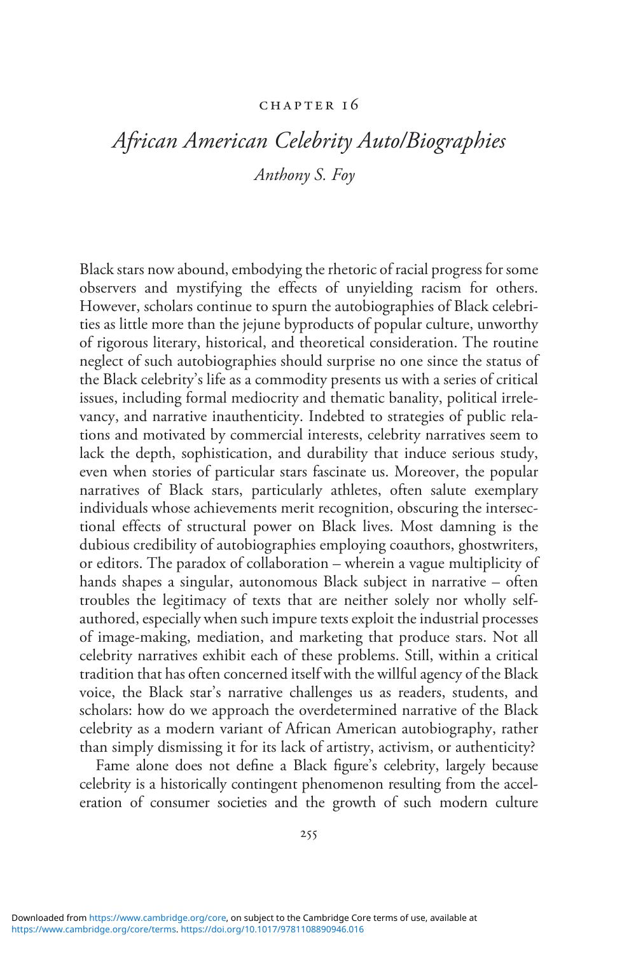#### chapter 1 6

# African American Celebrity Auto/Biographies Anthony S. Foy

Black stars now abound, embodying the rhetoric of racial progress for some observers and mystifying the effects of unyielding racism for others. However, scholars continue to spurn the autobiographies of Black celebrities as little more than the jejune byproducts of popular culture, unworthy of rigorous literary, historical, and theoretical consideration. The routine neglect of such autobiographies should surprise no one since the status of the Black celebrity's life as a commodity presents us with a series of critical issues, including formal mediocrity and thematic banality, political irrelevancy, and narrative inauthenticity. Indebted to strategies of public relations and motivated by commercial interests, celebrity narratives seem to lack the depth, sophistication, and durability that induce serious study, even when stories of particular stars fascinate us. Moreover, the popular narratives of Black stars, particularly athletes, often salute exemplary individuals whose achievements merit recognition, obscuring the intersectional effects of structural power on Black lives. Most damning is the dubious credibility of autobiographies employing coauthors, ghostwriters, or editors. The paradox of collaboration – wherein a vague multiplicity of hands shapes a singular, autonomous Black subject in narrative – often troubles the legitimacy of texts that are neither solely nor wholly selfauthored, especially when such impure texts exploit the industrial processes of image-making, mediation, and marketing that produce stars. Not all celebrity narratives exhibit each of these problems. Still, within a critical tradition that has often concerned itself with the willful agency of the Black voice, the Black star's narrative challenges us as readers, students, and scholars: how do we approach the overdetermined narrative of the Black celebrity as a modern variant of African American autobiography, rather than simply dismissing it for its lack of artistry, activism, or authenticity?

Fame alone does not define a Black figure's celebrity, largely because celebrity is a historically contingent phenomenon resulting from the acceleration of consumer societies and the growth of such modern culture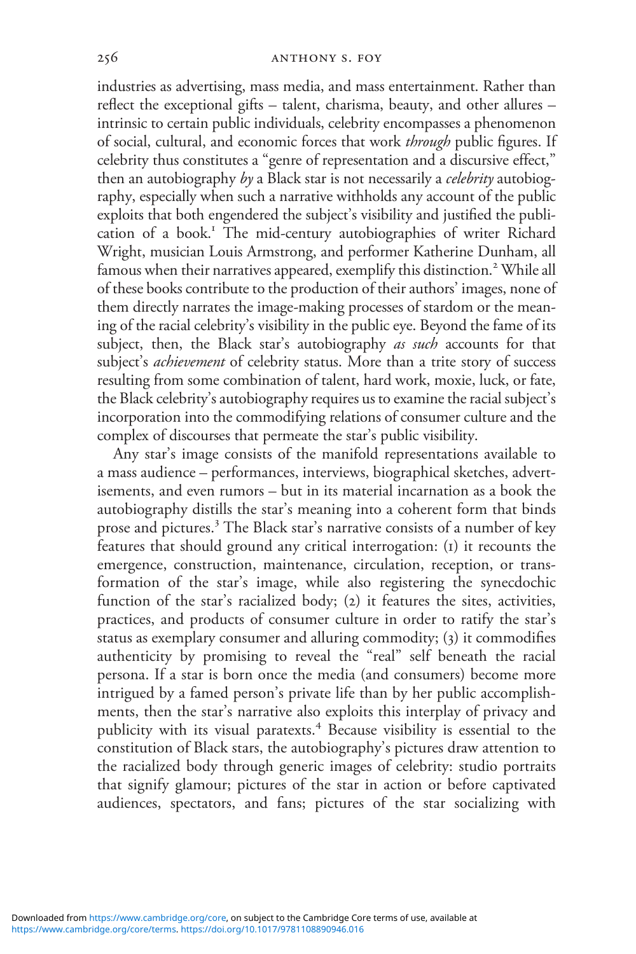#### 256 **ANTHONY S. FOY**

industries as advertising, mass media, and mass entertainment. Rather than reflect the exceptional gifts – talent, charisma, beauty, and other allures – intrinsic to certain public individuals, celebrity encompasses a phenomenon of social, cultural, and economic forces that work through public figures. If celebrity thus constitutes a "genre of representation and a discursive effect," then an autobiography by a Black star is not necessarily a *celebrity* autobiography, especially when such a narrative withholds any account of the public exploits that both engendered the subject's visibility and justified the publication of a book.<sup>1</sup> The mid-century autobiographies of writer Richard Wright, musician Louis Armstrong, and performer Katherine Dunham, all famous when their narratives appeared, exemplify this distinction.<sup>2</sup> While all of these books contribute to the production of their authors' images, none of them directly narrates the image-making processes of stardom or the meaning of the racial celebrity's visibility in the public eye. Beyond the fame of its subject, then, the Black star's autobiography as such accounts for that subject's *achievement* of celebrity status. More than a trite story of success resulting from some combination of talent, hard work, moxie, luck, or fate, the Black celebrity's autobiography requires us to examine the racial subject's incorporation into the commodifying relations of consumer culture and the complex of discourses that permeate the star's public visibility.

Any star's image consists of the manifold representations available to a mass audience – performances, interviews, biographical sketches, advertisements, and even rumors – but in its material incarnation as a book the autobiography distills the star's meaning into a coherent form that binds prose and pictures.3 The Black star's narrative consists of a number of key features that should ground any critical interrogation: (1) it recounts the emergence, construction, maintenance, circulation, reception, or transformation of the star's image, while also registering the synecdochic function of the star's racialized body; (2) it features the sites, activities, practices, and products of consumer culture in order to ratify the star's status as exemplary consumer and alluring commodity; (3) it commodifies authenticity by promising to reveal the "real" self beneath the racial persona. If a star is born once the media (and consumers) become more intrigued by a famed person's private life than by her public accomplishments, then the star's narrative also exploits this interplay of privacy and publicity with its visual paratexts.<sup>4</sup> Because visibility is essential to the constitution of Black stars, the autobiography's pictures draw attention to the racialized body through generic images of celebrity: studio portraits that signify glamour; pictures of the star in action or before captivated audiences, spectators, and fans; pictures of the star socializing with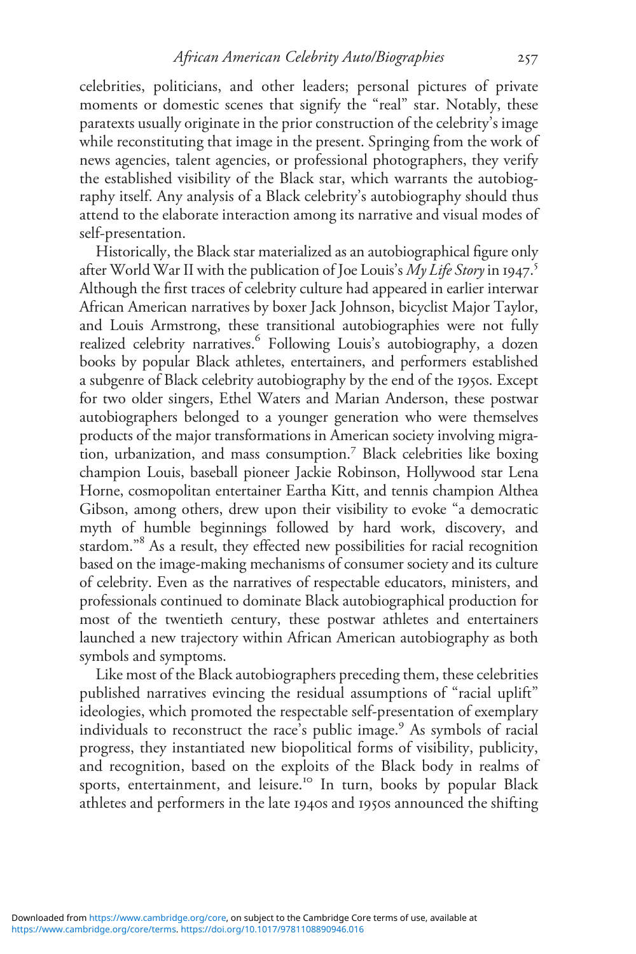celebrities, politicians, and other leaders; personal pictures of private moments or domestic scenes that signify the "real" star. Notably, these paratexts usually originate in the prior construction of the celebrity's image while reconstituting that image in the present. Springing from the work of news agencies, talent agencies, or professional photographers, they verify the established visibility of the Black star, which warrants the autobiography itself. Any analysis of a Black celebrity's autobiography should thus attend to the elaborate interaction among its narrative and visual modes of self-presentation.

Historically, the Black star materialized as an autobiographical figure only after World War II with the publication of Joe Louis's *My Life Story* in 1947.<sup>5</sup><br>Although the first traces of celebrity culture had appeared in earlier interwar Although the first traces of celebrity culture had appeared in earlier interwar African American narratives by boxer Jack Johnson, bicyclist Major Taylor, and Louis Armstrong, these transitional autobiographies were not fully realized celebrity narratives.<sup>6</sup> Following Louis's autobiography, a dozen books by popular Black athletes, entertainers, and performers established a subgenre of Black celebrity autobiography by the end of the 1950s. Except for two older singers, Ethel Waters and Marian Anderson, these postwar autobiographers belonged to a younger generation who were themselves products of the major transformations in American society involving migration, urbanization, and mass consumption.7 Black celebrities like boxing champion Louis, baseball pioneer Jackie Robinson, Hollywood star Lena Horne, cosmopolitan entertainer Eartha Kitt, and tennis champion Althea Gibson, among others, drew upon their visibility to evoke "a democratic myth of humble beginnings followed by hard work, discovery, and stardom." 8 As a result, they effected new possibilities for racial recognition based on the image-making mechanisms of consumer society and its culture of celebrity. Even as the narratives of respectable educators, ministers, and professionals continued to dominate Black autobiographical production for most of the twentieth century, these postwar athletes and entertainers launched a new trajectory within African American autobiography as both symbols and symptoms.

Like most of the Black autobiographers preceding them, these celebrities published narratives evincing the residual assumptions of "racial uplift" ideologies, which promoted the respectable self-presentation of exemplary individuals to reconstruct the race's public image.<sup>9</sup> As symbols of racial progress, they instantiated new biopolitical forms of visibility, publicity, and recognition, based on the exploits of the Black body in realms of sports, entertainment, and leisure.<sup>10</sup> In turn, books by popular Black athletes and performers in the late 1940s and 1950s announced the shifting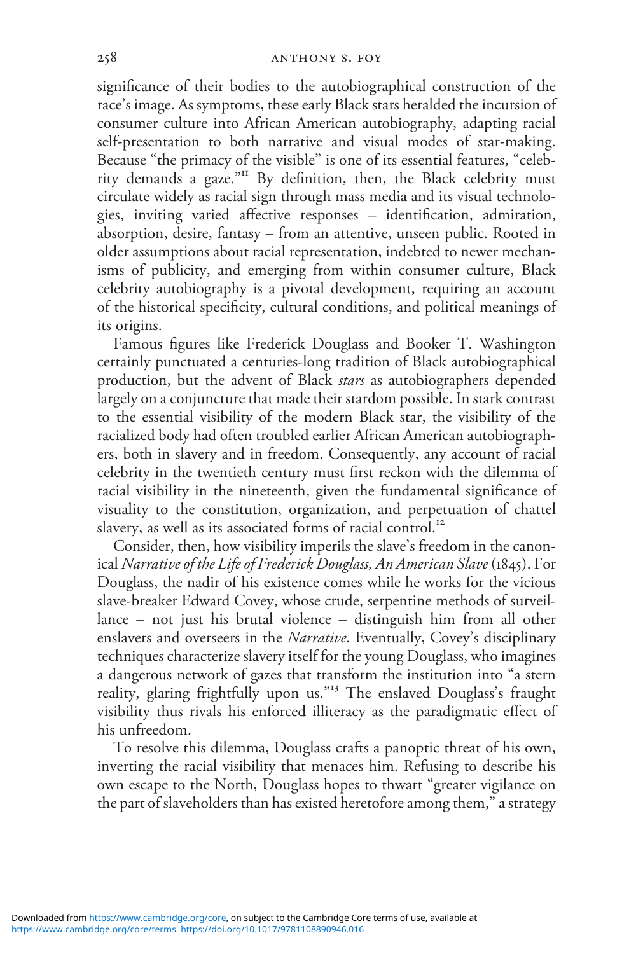significance of their bodies to the autobiographical construction of the race's image. As symptoms, these early Black stars heralded the incursion of consumer culture into African American autobiography, adapting racial self-presentation to both narrative and visual modes of star-making. Because "the primacy of the visible" is one of its essential features, "celebrity demands a gaze." <sup>11</sup> By definition, then, the Black celebrity must circulate widely as racial sign through mass media and its visual technologies, inviting varied affective responses – identification, admiration, absorption, desire, fantasy – from an attentive, unseen public. Rooted in older assumptions about racial representation, indebted to newer mechanisms of publicity, and emerging from within consumer culture, Black celebrity autobiography is a pivotal development, requiring an account of the historical specificity, cultural conditions, and political meanings of its origins.

Famous figures like Frederick Douglass and Booker T. Washington certainly punctuated a centuries-long tradition of Black autobiographical production, but the advent of Black stars as autobiographers depended largely on a conjuncture that made their stardom possible. In stark contrast to the essential visibility of the modern Black star, the visibility of the racialized body had often troubled earlier African American autobiographers, both in slavery and in freedom. Consequently, any account of racial celebrity in the twentieth century must first reckon with the dilemma of racial visibility in the nineteenth, given the fundamental significance of visuality to the constitution, organization, and perpetuation of chattel slavery, as well as its associated forms of racial control.<sup>12</sup>

Consider, then, how visibility imperils the slave's freedom in the canonical Narrative of the Life of Frederick Douglass, An American Slave (1845). For Douglass, the nadir of his existence comes while he works for the vicious slave-breaker Edward Covey, whose crude, serpentine methods of surveillance – not just his brutal violence – distinguish him from all other enslavers and overseers in the Narrative. Eventually, Covey's disciplinary techniques characterize slavery itself for the young Douglass, who imagines a dangerous network of gazes that transform the institution into "a stern reality, glaring frightfully upon us." 13 The enslaved Douglass's fraught visibility thus rivals his enforced illiteracy as the paradigmatic effect of his unfreedom.

To resolve this dilemma, Douglass crafts a panoptic threat of his own, inverting the racial visibility that menaces him. Refusing to describe his own escape to the North, Douglass hopes to thwart "greater vigilance on the part of slaveholders than has existed heretofore among them," a strategy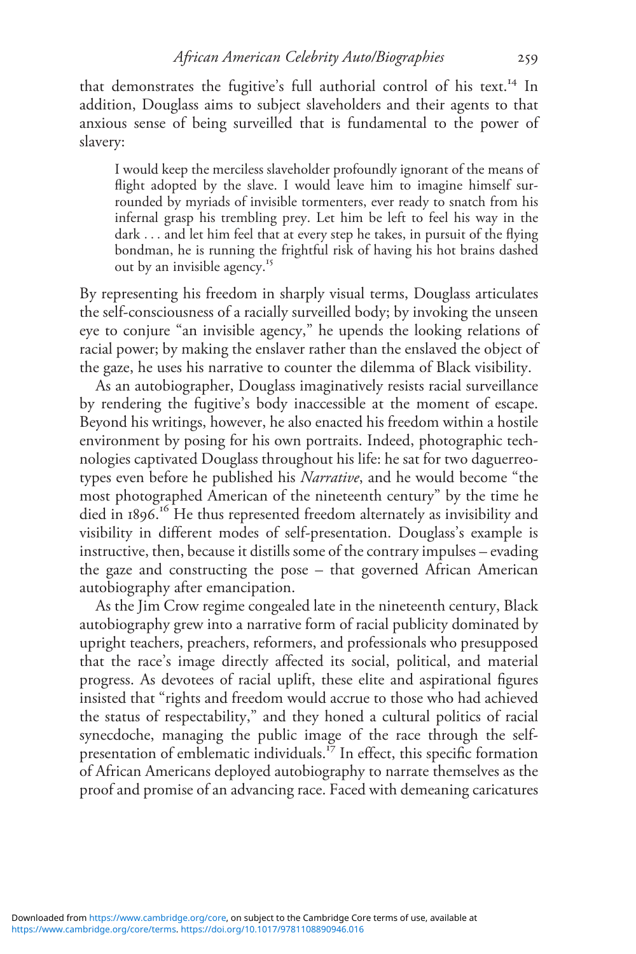that demonstrates the fugitive's full authorial control of his text.<sup>14</sup> In addition, Douglass aims to subject slaveholders and their agents to that anxious sense of being surveilled that is fundamental to the power of slavery:

I would keep the merciless slaveholder profoundly ignorant of the means of flight adopted by the slave. I would leave him to imagine himself surrounded by myriads of invisible tormenters, ever ready to snatch from his infernal grasp his trembling prey. Let him be left to feel his way in the dark ... and let him feel that at every step he takes, in pursuit of the flying bondman, he is running the frightful risk of having his hot brains dashed out by an invisible agency.<sup>15</sup>

By representing his freedom in sharply visual terms, Douglass articulates the self-consciousness of a racially surveilled body; by invoking the unseen eye to conjure "an invisible agency," he upends the looking relations of racial power; by making the enslaver rather than the enslaved the object of the gaze, he uses his narrative to counter the dilemma of Black visibility.

As an autobiographer, Douglass imaginatively resists racial surveillance by rendering the fugitive's body inaccessible at the moment of escape. Beyond his writings, however, he also enacted his freedom within a hostile environment by posing for his own portraits. Indeed, photographic technologies captivated Douglass throughout his life: he sat for two daguerreotypes even before he published his Narrative, and he would become "the most photographed American of the nineteenth century" by the time he died in 1896.<sup>16</sup> He thus represented freedom alternately as invisibility and<br>visibility in different modes of self-presentation. Douglass's example is visibility in different modes of self-presentation. Douglass's example is instructive, then, because it distills some of the contrary impulses – evading the gaze and constructing the pose – that governed African American autobiography after emancipation.

As the Jim Crow regime congealed late in the nineteenth century, Black autobiography grew into a narrative form of racial publicity dominated by upright teachers, preachers, reformers, and professionals who presupposed that the race's image directly affected its social, political, and material progress. As devotees of racial uplift, these elite and aspirational figures insisted that "rights and freedom would accrue to those who had achieved the status of respectability," and they honed a cultural politics of racial synecdoche, managing the public image of the race through the selfpresentation of emblematic individuals.<sup>17</sup> In effect, this specific formation of African Americans deployed autobiography to narrate themselves as the proof and promise of an advancing race. Faced with demeaning caricatures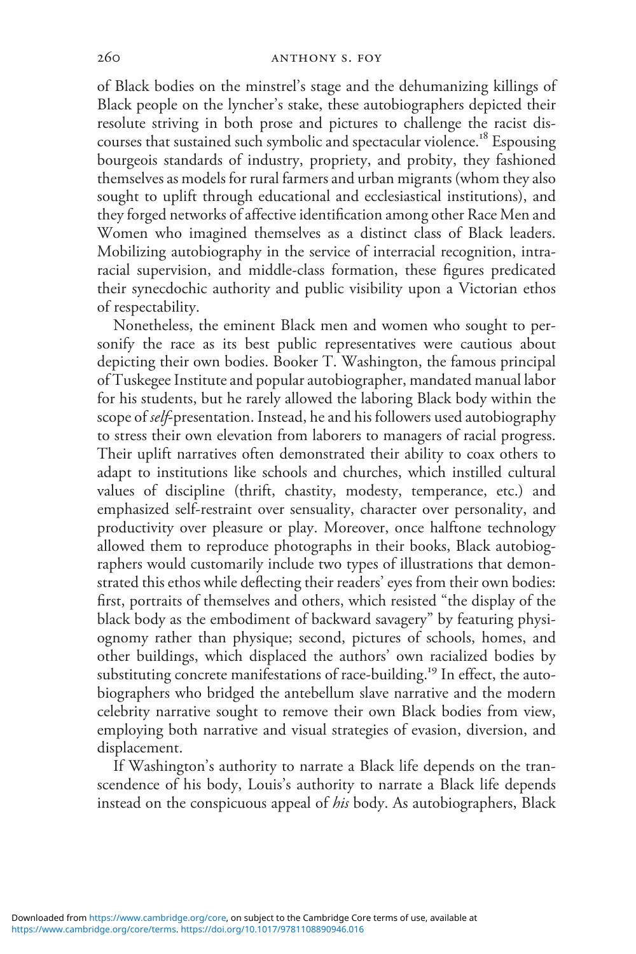of Black bodies on the minstrel's stage and the dehumanizing killings of Black people on the lyncher's stake, these autobiographers depicted their resolute striving in both prose and pictures to challenge the racist discourses that sustained such symbolic and spectacular violence.<sup>18</sup> Espousing bourgeois standards of industry, propriety, and probity, they fashioned themselves as models for rural farmers and urban migrants (whom they also sought to uplift through educational and ecclesiastical institutions), and they forged networks of affective identification among other Race Men and Women who imagined themselves as a distinct class of Black leaders. Mobilizing autobiography in the service of interracial recognition, intraracial supervision, and middle-class formation, these figures predicated their synecdochic authority and public visibility upon a Victorian ethos of respectability.

Nonetheless, the eminent Black men and women who sought to personify the race as its best public representatives were cautious about depicting their own bodies. Booker T. Washington, the famous principal of Tuskegee Institute and popular autobiographer, mandated manual labor for his students, but he rarely allowed the laboring Black body within the scope of self-presentation. Instead, he and his followers used autobiography to stress their own elevation from laborers to managers of racial progress. Their uplift narratives often demonstrated their ability to coax others to adapt to institutions like schools and churches, which instilled cultural values of discipline (thrift, chastity, modesty, temperance, etc.) and emphasized self-restraint over sensuality, character over personality, and productivity over pleasure or play. Moreover, once halftone technology allowed them to reproduce photographs in their books, Black autobiographers would customarily include two types of illustrations that demonstrated this ethos while deflecting their readers'eyes from their own bodies: first, portraits of themselves and others, which resisted "the display of the black body as the embodiment of backward savagery" by featuring physiognomy rather than physique; second, pictures of schools, homes, and other buildings, which displaced the authors' own racialized bodies by substituting concrete manifestations of race-building.<sup>19</sup> In effect, the autobiographers who bridged the antebellum slave narrative and the modern celebrity narrative sought to remove their own Black bodies from view, employing both narrative and visual strategies of evasion, diversion, and displacement.

If Washington's authority to narrate a Black life depends on the transcendence of his body, Louis's authority to narrate a Black life depends instead on the conspicuous appeal of his body. As autobiographers, Black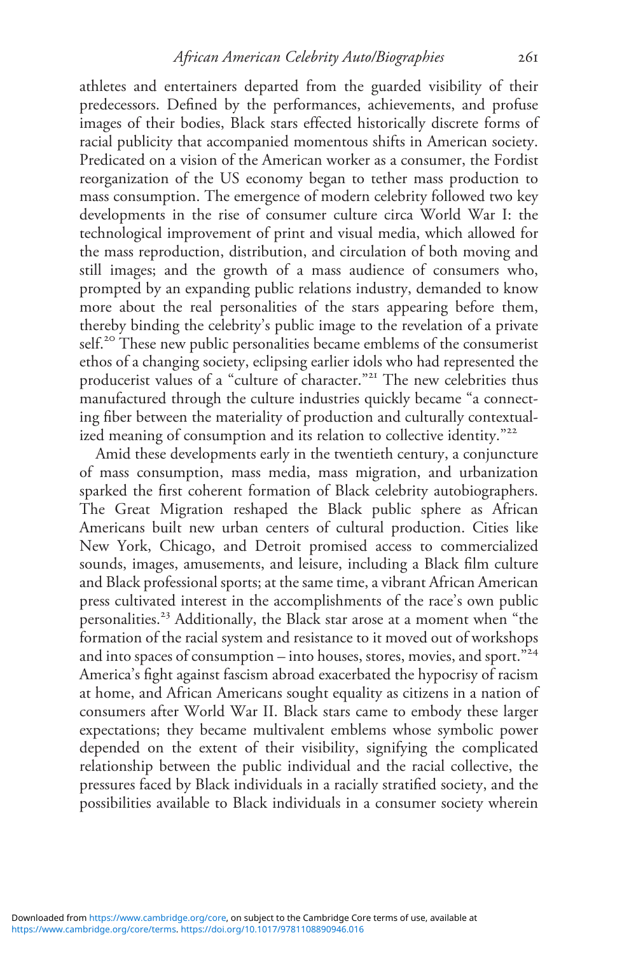athletes and entertainers departed from the guarded visibility of their predecessors. Defined by the performances, achievements, and profuse images of their bodies, Black stars effected historically discrete forms of racial publicity that accompanied momentous shifts in American society. Predicated on a vision of the American worker as a consumer, the Fordist reorganization of the US economy began to tether mass production to mass consumption. The emergence of modern celebrity followed two key developments in the rise of consumer culture circa World War I: the technological improvement of print and visual media, which allowed for the mass reproduction, distribution, and circulation of both moving and still images; and the growth of a mass audience of consumers who, prompted by an expanding public relations industry, demanded to know more about the real personalities of the stars appearing before them, thereby binding the celebrity's public image to the revelation of a private self.<sup>20</sup> These new public personalities became emblems of the consumerist ethos of a changing society, eclipsing earlier idols who had represented the producerist values of a "culture of character." 21 The new celebrities thus manufactured through the culture industries quickly became "a connecting fiber between the materiality of production and culturally contextualized meaning of consumption and its relation to collective identity."<sup>22</sup>

Amid these developments early in the twentieth century, a conjuncture of mass consumption, mass media, mass migration, and urbanization sparked the first coherent formation of Black celebrity autobiographers. The Great Migration reshaped the Black public sphere as African Americans built new urban centers of cultural production. Cities like New York, Chicago, and Detroit promised access to commercialized sounds, images, amusements, and leisure, including a Black film culture and Black professional sports; at the same time, a vibrant African American press cultivated interest in the accomplishments of the race's own public personalities.23 Additionally, the Black star arose at a moment when "the formation of the racial system and resistance to it moved out of workshops and into spaces of consumption – into houses, stores, movies, and sport." 24 America's fight against fascism abroad exacerbated the hypocrisy of racism at home, and African Americans sought equality as citizens in a nation of consumers after World War II. Black stars came to embody these larger expectations; they became multivalent emblems whose symbolic power depended on the extent of their visibility, signifying the complicated relationship between the public individual and the racial collective, the pressures faced by Black individuals in a racially stratified society, and the possibilities available to Black individuals in a consumer society wherein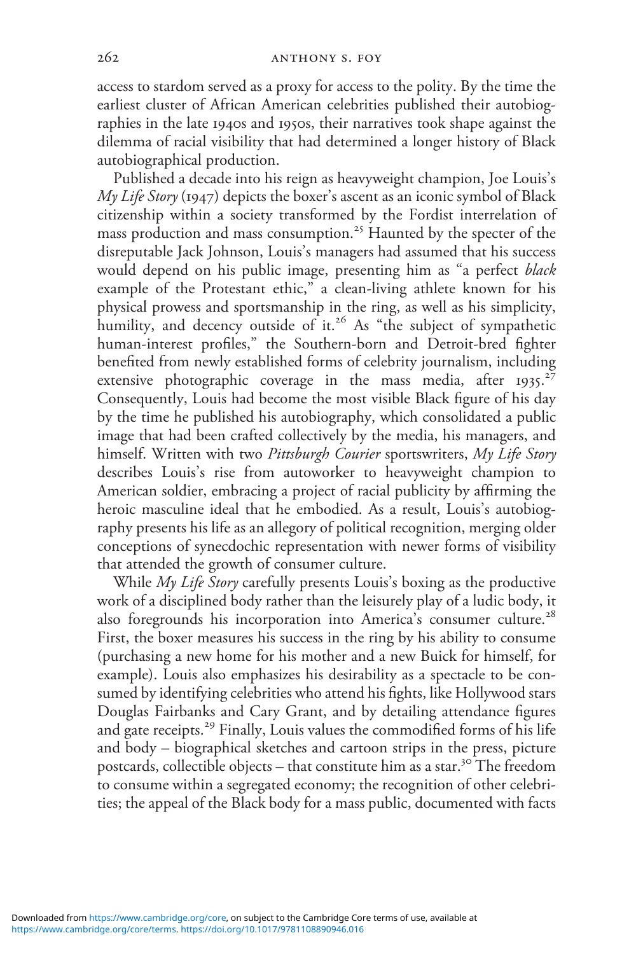access to stardom served as a proxy for access to the polity. By the time the earliest cluster of African American celebrities published their autobiographies in the late 1940s and 1950s, their narratives took shape against the dilemma of racial visibility that had determined a longer history of Black autobiographical production.

Published a decade into his reign as heavyweight champion, Joe Louis's  $My Life Story (1947)$  depicts the boxer's ascent as an iconic symbol of Black *My Life Story* (1947) depicts the boxer's ascent as an iconic symbol of Black<br>citizenship within a society transformed by the Fordist interrelation of mass production and mass consumption.25 Haunted by the specter of the disreputable Jack Johnson, Louis's managers had assumed that his success would depend on his public image, presenting him as "a perfect *black* example of the Protestant ethic," a clean-living athlete known for his physical prowess and sportsmanship in the ring, as well as his simplicity, humility, and decency outside of it.<sup>26</sup> As "the subject of sympathetic human-interest profiles," the Southern-born and Detroit-bred fighter benefited from newly established forms of celebrity journalism, including extensive photographic coverage in the mass media, after 1935.<sup>27</sup><br>Consequently Louis had become the most visible Black-figure of his day Consequently, Louis had become the most visible Black figure of his day by the time he published his autobiography, which consolidated a public image that had been crafted collectively by the media, his managers, and himself. Written with two Pittsburgh Courier sportswriters, My Life Story describes Louis's rise from autoworker to heavyweight champion to American soldier, embracing a project of racial publicity by affirming the heroic masculine ideal that he embodied. As a result, Louis's autobiography presents his life as an allegory of political recognition, merging older conceptions of synecdochic representation with newer forms of visibility that attended the growth of consumer culture.

While My Life Story carefully presents Louis's boxing as the productive work of a disciplined body rather than the leisurely play of a ludic body, it also foregrounds his incorporation into America's consumer culture.<sup>28</sup> First, the boxer measures his success in the ring by his ability to consume (purchasing a new home for his mother and a new Buick for himself, for example). Louis also emphasizes his desirability as a spectacle to be consumed by identifying celebrities who attend his fights, like Hollywood stars Douglas Fairbanks and Cary Grant, and by detailing attendance figures and gate receipts.<sup>29</sup> Finally, Louis values the commodified forms of his life and body – biographical sketches and cartoon strips in the press, picture postcards, collectible objects – that constitute him as a star.<sup>30</sup> The freedom to consume within a segregated economy; the recognition of other celebrities; the appeal of the Black body for a mass public, documented with facts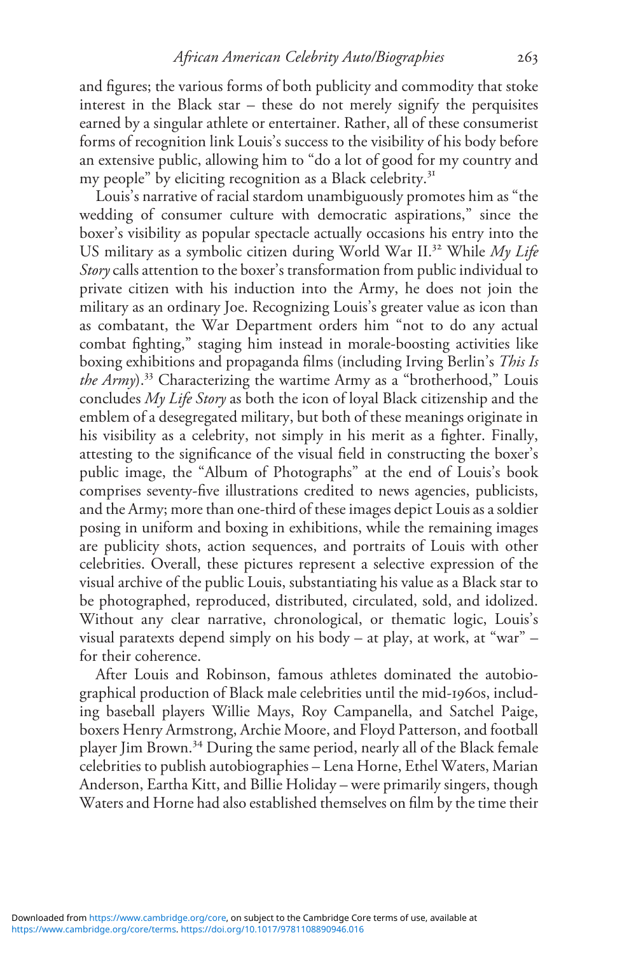and figures; the various forms of both publicity and commodity that stoke interest in the Black star – these do not merely signify the perquisites earned by a singular athlete or entertainer. Rather, all of these consumerist forms of recognition link Louis's success to the visibility of his body before an extensive public, allowing him to "do a lot of good for my country and my people" by eliciting recognition as a Black celebrity.<sup>31</sup>

Louis's narrative of racial stardom unambiguously promotes him as "the wedding of consumer culture with democratic aspirations," since the boxer's visibility as popular spectacle actually occasions his entry into the US military as a symbolic citizen during World War II.<sup>32</sup> While  $Mv$  Life Story calls attention to the boxer's transformation from public individual to private citizen with his induction into the Army, he does not join the military as an ordinary Joe. Recognizing Louis's greater value as icon than as combatant, the War Department orders him "not to do any actual combat fighting," staging him instead in morale-boosting activities like boxing exhibitions and propaganda films (including Irving Berlin's This Is the Army).<sup>33</sup> Characterizing the wartime Army as a "brotherhood," Louis concludes  $My$  Life Story as both the icon of loyal Black citizenship and the emblem of a desegregated military, but both of these meanings originate in his visibility as a celebrity, not simply in his merit as a fighter. Finally, attesting to the significance of the visual field in constructing the boxer's public image, the "Album of Photographs" at the end of Louis's book comprises seventy-five illustrations credited to news agencies, publicists, and the Army; more than one-third of these images depict Louis as a soldier posing in uniform and boxing in exhibitions, while the remaining images are publicity shots, action sequences, and portraits of Louis with other celebrities. Overall, these pictures represent a selective expression of the visual archive of the public Louis, substantiating his value as a Black star to be photographed, reproduced, distributed, circulated, sold, and idolized. Without any clear narrative, chronological, or thematic logic, Louis's visual paratexts depend simply on his body – at play, at work, at "war" – for their coherence.

After Louis and Robinson, famous athletes dominated the autobiographical production of Black male celebrities until the mid-1960s, including baseball players Willie Mays, Roy Campanella, and Satchel Paige, boxers Henry Armstrong, Archie Moore, and Floyd Patterson, and football player Jim Brown.<sup>34</sup> During the same period, nearly all of the Black female celebrities to publish autobiographies – Lena Horne, Ethel Waters, Marian Anderson, Eartha Kitt, and Billie Holiday – were primarily singers, though Waters and Horne had also established themselves on film by the time their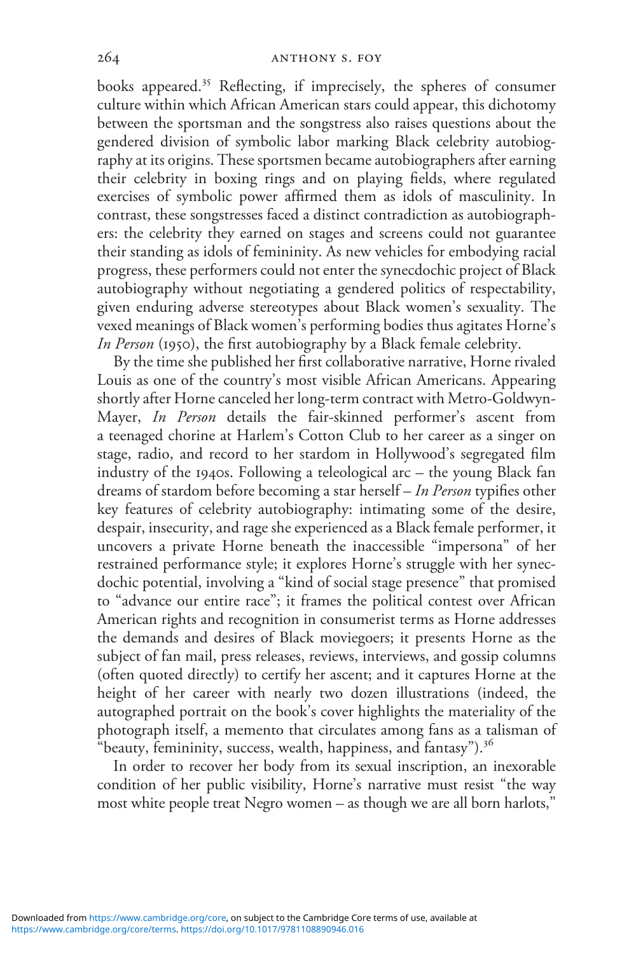books appeared.<sup>35</sup> Reflecting, if imprecisely, the spheres of consumer culture within which African American stars could appear, this dichotomy between the sportsman and the songstress also raises questions about the gendered division of symbolic labor marking Black celebrity autobiography at its origins. These sportsmen became autobiographers after earning their celebrity in boxing rings and on playing fields, where regulated exercises of symbolic power affirmed them as idols of masculinity. In contrast, these songstresses faced a distinct contradiction as autobiographers: the celebrity they earned on stages and screens could not guarantee their standing as idols of femininity. As new vehicles for embodying racial progress, these performers could not enter the synecdochic project of Black autobiography without negotiating a gendered politics of respectability, given enduring adverse stereotypes about Black women's sexuality. The vexed meanings of Black women's performing bodies thus agitates Horne's In Person (1950), the first autobiography by a Black female celebrity.

By the time she published her first collaborative narrative, Horne rivaled Louis as one of the country's most visible African Americans. Appearing shortly after Horne canceled her long-term contract with Metro-Goldwyn-Mayer, In Person details the fair-skinned performer's ascent from a teenaged chorine at Harlem's Cotton Club to her career as a singer on stage, radio, and record to her stardom in Hollywood's segregated film industry of the 1940s. Following a teleological arc – the young Black fan dreams of stardom before becoming a star herself - In Person typifies other key features of celebrity autobiography: intimating some of the desire, despair, insecurity, and rage she experienced as a Black female performer, it uncovers a private Horne beneath the inaccessible "impersona" of her restrained performance style; it explores Horne's struggle with her synecdochic potential, involving a "kind of social stage presence" that promised to "advance our entire race"; it frames the political contest over African American rights and recognition in consumerist terms as Horne addresses the demands and desires of Black moviegoers; it presents Horne as the subject of fan mail, press releases, reviews, interviews, and gossip columns (often quoted directly) to certify her ascent; and it captures Horne at the height of her career with nearly two dozen illustrations (indeed, the autographed portrait on the book's cover highlights the materiality of the photograph itself, a memento that circulates among fans as a talisman of "beauty, femininity, success, wealth, happiness, and fantasy").<sup>36</sup>

In order to recover her body from its sexual inscription, an inexorable condition of her public visibility, Horne's narrative must resist "the way most white people treat Negro women – as though we are all born harlots,"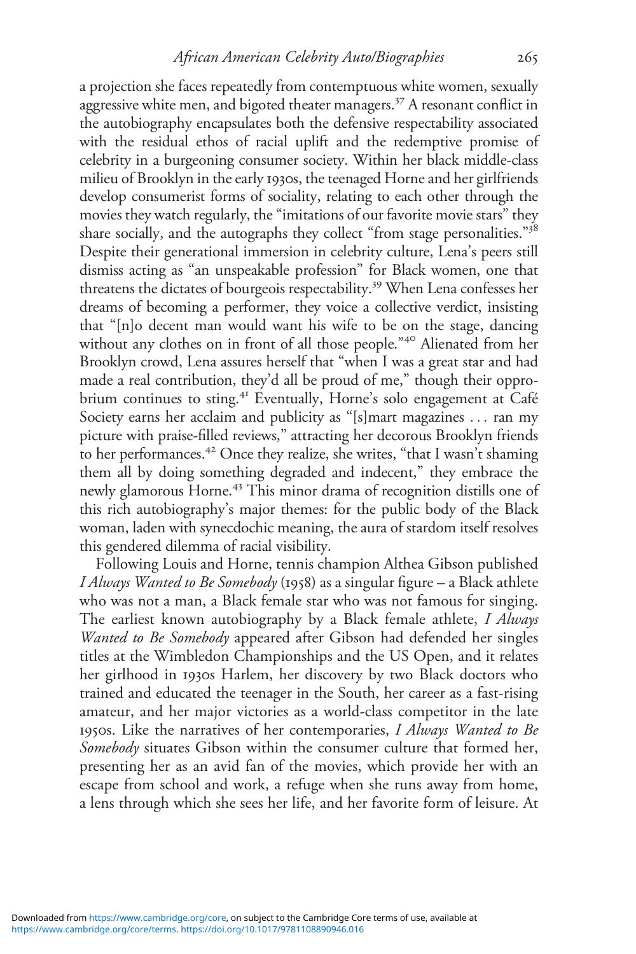a projection she faces repeatedly from contemptuous white women, sexually aggressive white men, and bigoted theater managers.<sup>37</sup> A resonant conflict in the autobiography encapsulates both the defensive respectability associated with the residual ethos of racial uplift and the redemptive promise of celebrity in a burgeoning consumer society. Within her black middle-class milieu of Brooklyn in the early 1930s, the teenaged Horne and her girlfriends develop consumerist forms of sociality, relating to each other through the movies they watch regularly, the "imitations of our favorite movie stars" they share socially, and the autographs they collect "from stage personalities." 38 Despite their generational immersion in celebrity culture, Lena's peers still dismiss acting as "an unspeakable profession" for Black women, one that threatens the dictates of bourgeois respectability.39 When Lena confesses her dreams of becoming a performer, they voice a collective verdict, insisting that "[n]o decent man would want his wife to be on the stage, dancing without any clothes on in front of all those people." 40 Alienated from her Brooklyn crowd, Lena assures herself that "when I was a great star and had made a real contribution, they'd all be proud of me," though their opprobrium continues to sting.<sup>41</sup> Eventually, Horne's solo engagement at Café Society earns her acclaim and publicity as "[s]mart magazines ... ran my picture with praise-filled reviews," attracting her decorous Brooklyn friends to her performances.<sup>42</sup> Once they realize, she writes, "that I wasn't shaming them all by doing something degraded and indecent," they embrace the newly glamorous Horne.<sup>43</sup> This minor drama of recognition distills one of this rich autobiography's major themes: for the public body of the Black woman, laden with synecdochic meaning, the aura of stardom itself resolves this gendered dilemma of racial visibility.

Following Louis and Horne, tennis champion Althea Gibson published *I Always Wanted to Be Somebody* (1958) as a singular figure – a Black athlete who was not a man, a Black female star who was not famous for singing. The earliest known autobiography by a Black female athlete, I Always Wanted to Be Somebody appeared after Gibson had defended her singles titles at the Wimbledon Championships and the US Open, and it relates her girlhood in 1930s Harlem, her discovery by two Black doctors who trained and educated the teenager in the South, her career as a fast-rising amateur, and her major victories as a world-class competitor in the late 1950s. Like the narratives of her contemporaries, I Always Wanted to Be Somebody situates Gibson within the consumer culture that formed her, presenting her as an avid fan of the movies, which provide her with an escape from school and work, a refuge when she runs away from home, a lens through which she sees her life, and her favorite form of leisure. At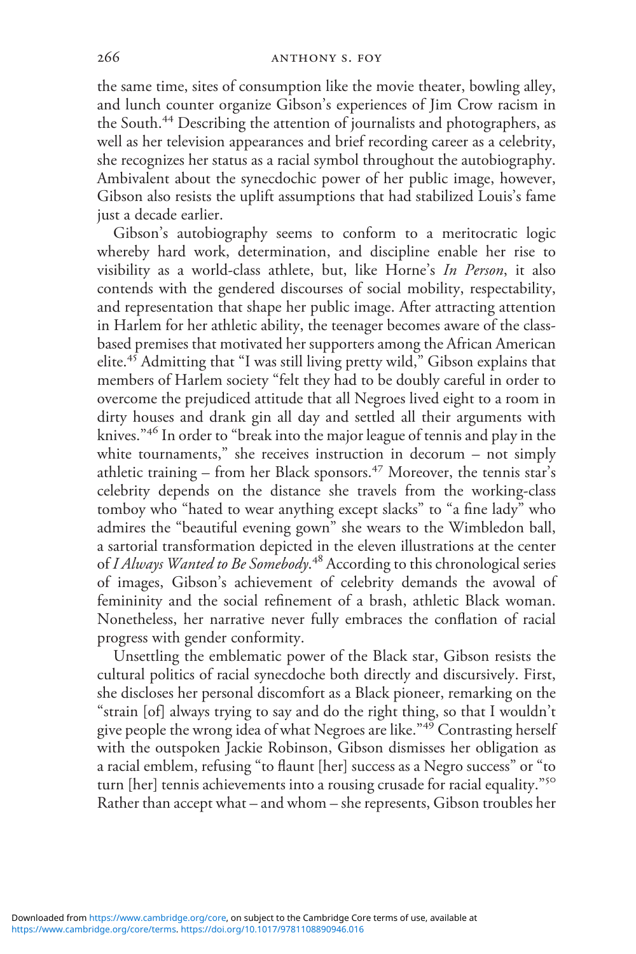the same time, sites of consumption like the movie theater, bowling alley, and lunch counter organize Gibson's experiences of Jim Crow racism in the South.44 Describing the attention of journalists and photographers, as well as her television appearances and brief recording career as a celebrity, she recognizes her status as a racial symbol throughout the autobiography. Ambivalent about the synecdochic power of her public image, however, Gibson also resists the uplift assumptions that had stabilized Louis's fame just a decade earlier.

Gibson's autobiography seems to conform to a meritocratic logic whereby hard work, determination, and discipline enable her rise to visibility as a world-class athlete, but, like Horne's In Person, it also contends with the gendered discourses of social mobility, respectability, and representation that shape her public image. After attracting attention in Harlem for her athletic ability, the teenager becomes aware of the classbased premises that motivated her supporters among the African American elite.45 Admitting that "I was still living pretty wild," Gibson explains that members of Harlem society "felt they had to be doubly careful in order to overcome the prejudiced attitude that all Negroes lived eight to a room in dirty houses and drank gin all day and settled all their arguments with knives." 46 In order to "break into the major league of tennis and play in the white tournaments," she receives instruction in decorum – not simply athletic training – from her Black sponsors.47 Moreover, the tennis star's celebrity depends on the distance she travels from the working-class tomboy who "hated to wear anything except slacks" to "a fine lady" who admires the "beautiful evening gown" she wears to the Wimbledon ball, a sartorial transformation depicted in the eleven illustrations at the center of *I Always Wanted to Be Somebody*.<sup>48</sup> According to this chronological series of images, Gibson's achievement of celebrity demands the avowal of femininity and the social refinement of a brash, athletic Black woman. Nonetheless, her narrative never fully embraces the conflation of racial progress with gender conformity.

Unsettling the emblematic power of the Black star, Gibson resists the cultural politics of racial synecdoche both directly and discursively. First, she discloses her personal discomfort as a Black pioneer, remarking on the "strain [of] always trying to say and do the right thing, so that I wouldn't give people the wrong idea of what Negroes are like." 49 Contrasting herself with the outspoken Jackie Robinson, Gibson dismisses her obligation as a racial emblem, refusing "to flaunt [her] success as a Negro success" or "to turn [her] tennis achievements into a rousing crusade for racial equality." 50 Rather than accept what – and whom – she represents, Gibson troubles her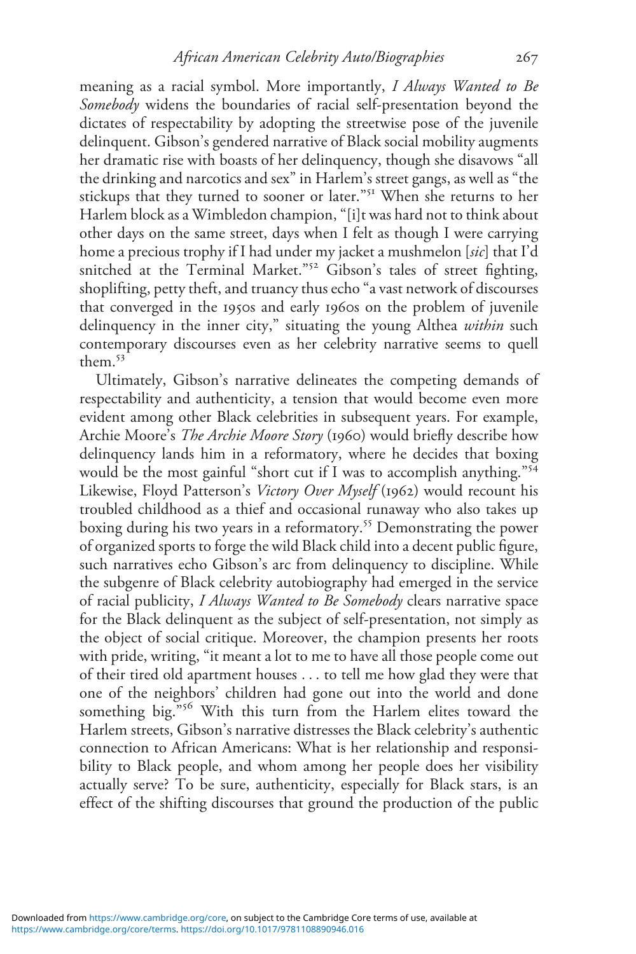meaning as a racial symbol. More importantly, I Always Wanted to Be Somebody widens the boundaries of racial self-presentation beyond the dictates of respectability by adopting the streetwise pose of the juvenile delinquent. Gibson's gendered narrative of Black social mobility augments her dramatic rise with boasts of her delinquency, though she disavows "all the drinking and narcotics and sex" in Harlem's street gangs, as well as "the stickups that they turned to sooner or later." 51 When she returns to her Harlem block as a Wimbledon champion, "[i]t was hard not to think about other days on the same street, days when I felt as though I were carrying home a precious trophy if I had under my jacket a mushmelon [sic] that I'd snitched at the Terminal Market." <sup>52</sup> Gibson's tales of street fighting, shoplifting, petty theft, and truancy thus echo "a vast network of discourses that converged in the 1950s and early 1960s on the problem of juvenile delinquency in the inner city," situating the young Althea within such contemporary discourses even as her celebrity narrative seems to quell them.<sup>53</sup>

Ultimately, Gibson's narrative delineates the competing demands of respectability and authenticity, a tension that would become even more evident among other Black celebrities in subsequent years. For example, Archie Moore'<sup>s</sup> The Archie Moore Story (1960) would briefly describe how delinquency lands him in a reformatory, where he decides that boxing would be the most gainful "short cut if I was to accomplish anything." 54 Likewise, Floyd Patterson'<sup>s</sup> Victory Over Myself (1962) would recount his troubled childhood as a thief and occasional runaway who also takes up boxing during his two years in a reformatory.<sup>55</sup> Demonstrating the power of organized sports to forge the wild Black child into a decent public figure, such narratives echo Gibson's arc from delinquency to discipline. While the subgenre of Black celebrity autobiography had emerged in the service of racial publicity, I Always Wanted to Be Somebody clears narrative space for the Black delinquent as the subject of self-presentation, not simply as the object of social critique. Moreover, the champion presents her roots with pride, writing, "it meant a lot to me to have all those people come out of their tired old apartment houses ... to tell me how glad they were that one of the neighbors' children had gone out into the world and done something big." 56 With this turn from the Harlem elites toward the Harlem streets, Gibson's narrative distresses the Black celebrity's authentic connection to African Americans: What is her relationship and responsibility to Black people, and whom among her people does her visibility actually serve? To be sure, authenticity, especially for Black stars, is an effect of the shifting discourses that ground the production of the public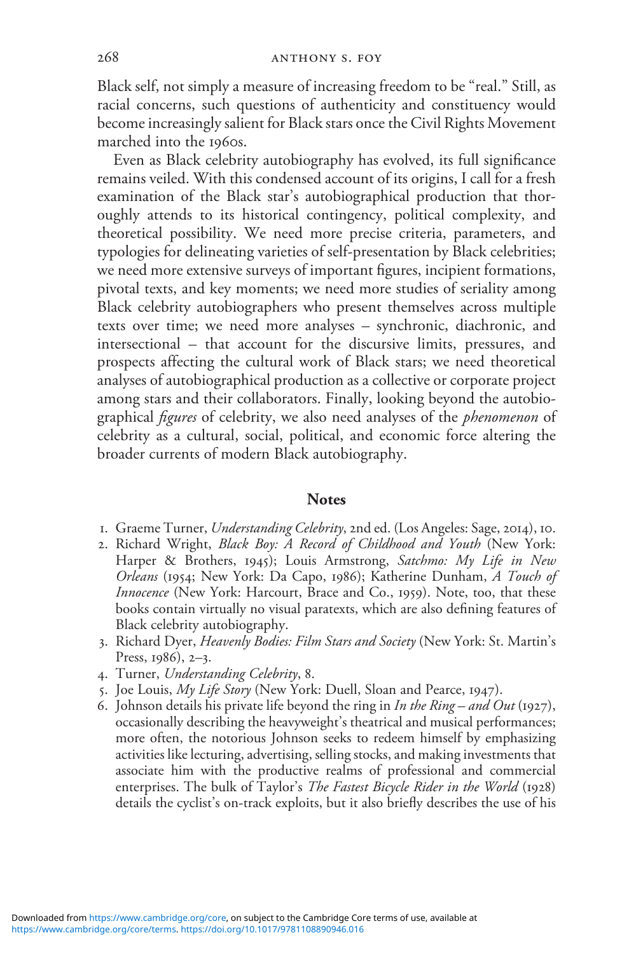Black self, not simply a measure of increasing freedom to be "real." Still, as racial concerns, such questions of authenticity and constituency would become increasingly salient for Black stars once the Civil Rights Movement marched into the 1960s.

Even as Black celebrity autobiography has evolved, its full significance remains veiled. With this condensed account of its origins, I call for a fresh examination of the Black star's autobiographical production that thoroughly attends to its historical contingency, political complexity, and theoretical possibility. We need more precise criteria, parameters, and typologies for delineating varieties of self-presentation by Black celebrities; we need more extensive surveys of important figures, incipient formations, pivotal texts, and key moments; we need more studies of seriality among Black celebrity autobiographers who present themselves across multiple texts over time; we need more analyses – synchronic, diachronic, and intersectional – that account for the discursive limits, pressures, and prospects affecting the cultural work of Black stars; we need theoretical analyses of autobiographical production as a collective or corporate project among stars and their collaborators. Finally, looking beyond the autobiographical figures of celebrity, we also need analyses of the phenomenon of celebrity as a cultural, social, political, and economic force altering the broader currents of modern Black autobiography.

#### **Notes**

- 1. Graeme Turner, Understanding Celebrity, 2nd ed. (Los Angeles: Sage, 2014), 10.
- 2. Richard Wright, Black Boy: A Record of Childhood and Youth (New York: Harper & Brothers, 1945); Louis Armstrong, Satchmo: My Life in New Orleans (1954; New York: Da Capo, 1986); Katherine Dunham, A Touch of Orleans (1954; New York: Da Capo, 1986); Katherine Dunham, A Touch of<br>Innocence (New York: Harcourt, Brace and Co., 1959), Note, too, that these *Innocence* (New York: Harcourt, Brace and Co., 1959). Note, too, that these<br>books contain virtually no visual paratexts, which are also defining features of books contain virtually no visual paratexts, which are also defining features of Black celebrity autobiography.
- 3. Richard Dyer, *Heavenly Bodies: Film Stars and Society* (New York: St. Martin's Press, 1986), 2–3.
- 4. Turner, Understanding Celebrity, 8.
- 5. Joe Louis, My Life Story (New York: Duell, Sloan and Pearce, 1947).
- 6. Johnson details his private life beyond the ring in In the Ring and Out (1927), occasionally describing the heavyweight's theatrical and musical performances; more often, the notorious Johnson seeks to redeem himself by emphasizing activities like lecturing, advertising, selling stocks, and making investments that associate him with the productive realms of professional and commercial enterprises. The bulk of Taylor's The Fastest Bicycle Rider in the World (1928) details the cyclist's on-track exploits, but it also briefly describes the use of his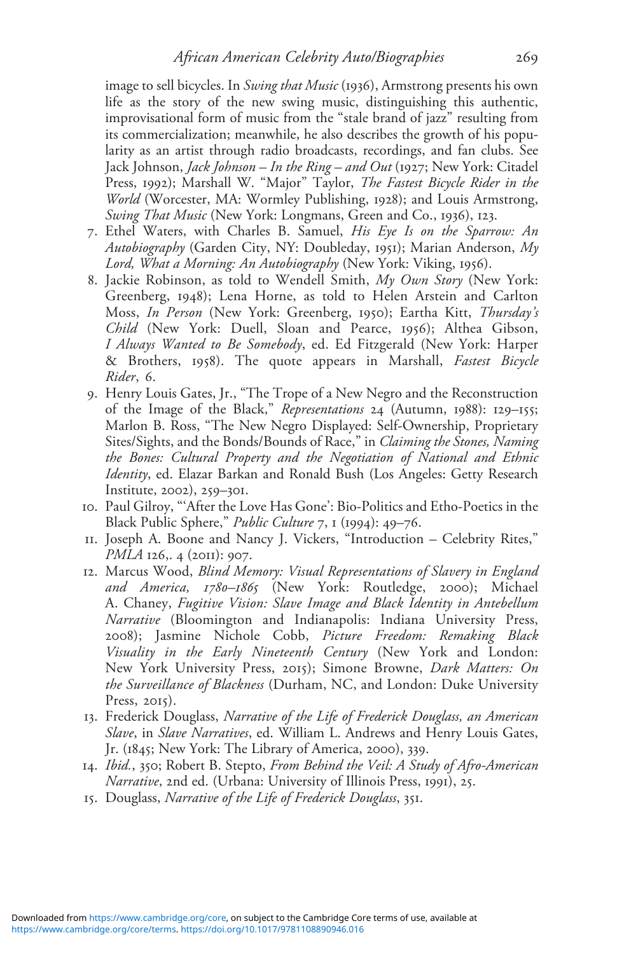image to sell bicycles. In Swing that Music (1936), Armstrong presents his own life as the story of the new swing music, distinguishing this authentic, improvisational form of music from the "stale brand of jazz" resulting from its commercialization; meanwhile, he also describes the growth of his popularity as an artist through radio broadcasts, recordings, and fan clubs. See Jack Johnson, Jack Johnson – In the Ring – and Out (1927; New York: Citadel Press, 1992); Marshall W. "Major" Taylor, *The Fastest Bicycle Rider in the* World (Worcester, MA: Wormley Publishing, 1928); and Louis Armstrong, Swing That Music (New York: Longmans, Green and Co., 1936), 123.

- 7. Ethel Waters, with Charles B. Samuel, His Eye Is on the Sparrow: An *Autobiography* (Garden City, NY: Doubleday, 1951); Marian Anderson,  $M_{\nu}$ Lord, What a Morning: An Autobiography (New York: Viking, 1956).
- 8. Jackie Robinson, as told to Wendell Smith,  $My Own Story$  (New York: Greenberg, 1948); Lena Horne, as told to Helen Arstein and Carlton Moss, In Person (New York: Greenberg, 1950); Eartha Kitt, Thursday's Child (New York: Duell, Sloan and Pearce, 1956); Althea Gibson, I Always Wanted to Be Somebody, ed. Ed Fitzgerald (New York: Harper & Brothers, 1958). The quote appears in Marshall, Fastest Bicycle<br>Rider, 6. *Rider*, 6.<br>Henrv Lo
- 9. Henry Louis Gates, Jr., "The Trope of a New Negro and the Reconstruction of the Image of the Black" *Representations* 24 (Autumn, 1988): 129–155: of the Image of the Black," Representations 24 (Autumn, 1988): 129–155; Marlon B. Ross, "The New Negro Displayed: Self-Ownership, Proprietary Sites/Sights, and the Bonds/Bounds of Race," in Claiming the Stones, Naming the Bones: Cultural Property and the Negotiation of National and Ethnic Identity, ed. Elazar Barkan and Ronald Bush (Los Angeles: Getty Research Institute, 2002), 259–301.
- 10. Paul Gilroy, "'After the Love Has Gone': Bio-Politics and Etho-Poetics in the Black Public Sphere," Public Culture 7, 1 (1994): 49–76.
- 11. Joseph A. Boone and Nancy J. Vickers, "Introduction Celebrity Rites," PMLA 126,. 4 (2011): 907.
- 12. Marcus Wood, Blind Memory: Visual Representations of Slavery in England and America, <sup>1780</sup>–<sup>1865</sup> (New York: Routledge, 2000); Michael A. Chaney, Fugitive Vision: Slave Image and Black Identity in Antebellum Narrative (Bloomington and Indianapolis: Indiana University Press, 2008); Jasmine Nichole Cobb, Picture Freedom: Remaking Black Visuality in the Early Nineteenth Century (New York and London: New York University Press, 2015); Simone Browne, Dark Matters: On the Surveillance of Blackness (Durham, NC, and London: Duke University Press, 2015).
- 13. Frederick Douglass, Narrative of the Life of Frederick Douglass, an American Slave, in Slave Narratives, ed. William L. Andrews and Henry Louis Gates, Jr. (1845; New York: The Library of America, 2000), 339.
- 14. Ibid., 350; Robert B. Stepto, From Behind the Veil: A Study of Afro-American Narrative, 2nd ed. (Urbana: University of Illinois Press, 1991), <sup>25</sup>.
- 15. Douglass, Narrative of the Life of Frederick Douglass, 351.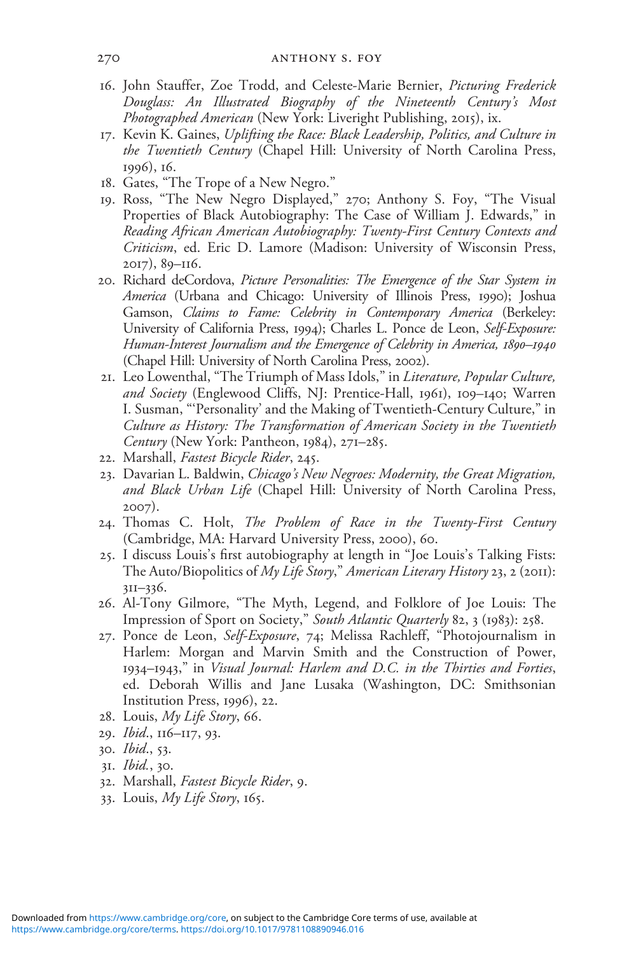- 16. John Stauffer, Zoe Trodd, and Celeste-Marie Bernier, Picturing Frederick Douglass: An Illustrated Biography of the Nineteenth Century's Most *Photographed American* (New York: Liveright Publishing, 2015), ix.<br>Kevin K. Gaines. Unlifting the Race: Black Leadershin. Politics. and 270 anthony s. foy
- 17. Kevin K. Gaines, *Uplifting the Race: Black Leadership, Politics, and Culture in*<br>*the Twentieth Century* (Chapel Hill: University of North Carolina Press. the Twentieth Century (Chapel Hill: University of North Carolina Press, 1996), 16.<br>Gates. "T
- 18. Gates, "The Trope of a New Negro."<br>19 Ross. "The New Negro Displayed.'
- 19. Ross, "The New Negro Displayed," 270; Anthony S. Foy, "The Visual Properties of Black Autobiography: The Case of William J. Edwards," in Reading African American Autobiography: Twenty-First Century Contexts and Criticism, ed. Eric D. Lamore (Madison: University of Wisconsin Press, 2017), 89–116.
- 20. Richard deCordova, Picture Personalities: The Emergence of the Star System in America (Urbana and Chicago: University of Illinois Press, 1990); Joshua Gamson, Claims to Fame: Celebrity in Contemporary America (Berkeley: University of California Press, 1994); Charles L. Ponce de Leon, Self-Exposure: Human-Interest Journalism and the Emergence of Celebrity in America, 1890–1940<br>(Chapel Hill: University of North Carolina Press, 2002). (Chapel Hill: University of North Carolina Press, 2002).<br>Leo Lowenthal. "The Triumph of Mass Idols." in *Liter*
- 21. Leo Lowenthal, "The Triumph of Mass Idols," in *Literature, Popular Culture,<br>and Society* (Englewood Cliffs, NI: Prentice-Hall, 1961), 109–140: Warren and Society (Englewood Cliffs, NJ: Prentice-Hall, 1961), 109–140; Warren I. Susman, "'Personality' and the Making of Twentieth-Century Culture," in Culture as History: The Transformation of American Society in the Twentieth Century (New York: Pantheon, 1984), 271–285.
- 22. Marshall, Fastest Bicycle Rider, 245.
- 23. Davarian L. Baldwin, Chicago's New Negroes: Modernity, the Great Migration, and Black Urban Life (Chapel Hill: University of North Carolina Press, 2007).<br>Thom
- 24. Thomas C. Holt, *The Problem of Race in the Twenty-First Century*<br>(Cambridge MA: Harvard University Press 2000), 60. (Cambridge, MA: Harvard University Press, 2000), 60.
- 25. I discuss Louis'<sup>s</sup> first autobiography at length in "Joe Louis's Talking Fists: The Auto/Biopolitics of *My Life Story," American Literary History* 23, 2 (2011):  $3II-336$ . 311–336<mark>.</mark><br>Al-Tony
- 26. Al-Tony Gilmore, "The Myth, Legend, and Folklore of Joe Louis: The<br>Impression of Sport on Society "*South Atlantic Quarterly* 82, 3 (1983): 258 Impression of Sport on Society," South Atlantic Quarterly 82, 3 (1983): 258.
- 27. Ponce de Leon, Self-Exposure, 74; Melissa Rachleff, "Photojournalism in Harlem: Morgan and Marvin Smith and the Construction of Power, 1934–1943," in Visual Journal: Harlem and D.C. in the Thirties and Forties, ed. Deborah Willis and Jane Lusaka (Washington, DC: Smithsonian Institution Press, 1996), 22.
- 28. Louis, My Life Story, 66.
- 29. Ibid., 116–117, 93.
- 30. Ibid., 53.
- 31. Ibid., 30.
- 32. Marshall, Fastest Bicycle Rider, 9.
- 33. Louis, My Life Story, 165.